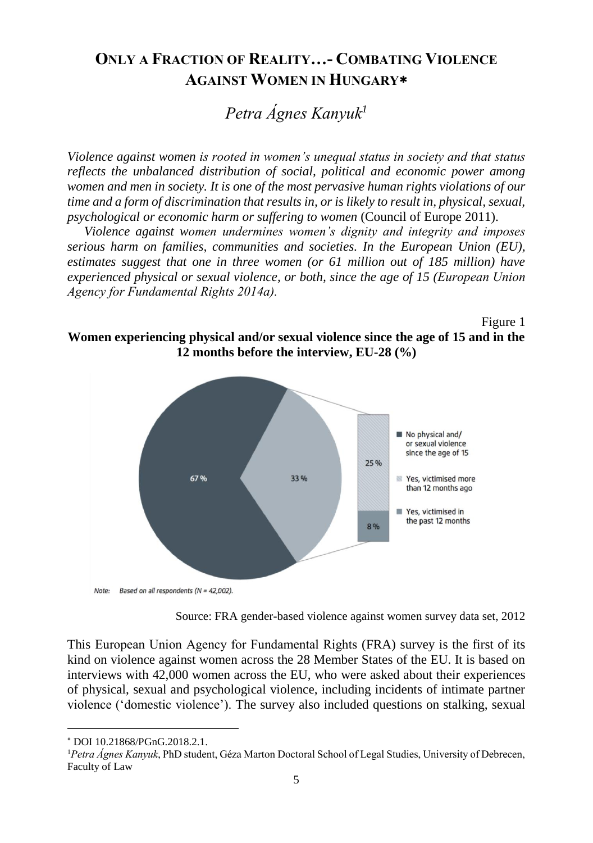# **ONLY A FRACTION OF REALITY…- COMBATING VIOLENCE AGAINST WOMEN IN HUNGARY**

*Petra Ágnes Kanyuk<sup>1</sup>*

*Violence against women is rooted in women's unequal status in society and that status reflects the unbalanced distribution of social, political and economic power among women and men in society. It is one of the most pervasive human rights violations of our time and a form of discrimination that results in, or is likely to result in, physical, sexual, psychological or economic harm or suffering to women* (Council of Europe 2011).

*Violence against women undermines women's dignity and integrity and imposes serious harm on families, communities and societies. In the European Union (EU), estimates suggest that one in three women (or 61 million out of 185 million) have experienced physical or sexual violence, or both, since the age of 15 (European Union Agency for Fundamental Rights 2014a).*

Figure 1

**Women experiencing physical and/or sexual violence since the age of 15 and in the 12 months before the interview, EU-28 (%)**



Source: FRA gender-based violence against women survey data set, 2012

This European Union Agency for Fundamental Rights (FRA) survey is the first of its kind on violence against women across the 28 Member States of the EU. It is based on interviews with 42,000 women across the EU, who were asked about their experiences of physical, sexual and psychological violence, including incidents of intimate partner violence ('domestic violence'). The survey also included questions on stalking, sexual

l

DOI 10.21868/PGnG.2018.2.1.

<sup>1</sup>*Petra Ágnes Kanyuk*, PhD student, Géza Marton Doctoral School of Legal Studies, University of Debrecen, Faculty of Law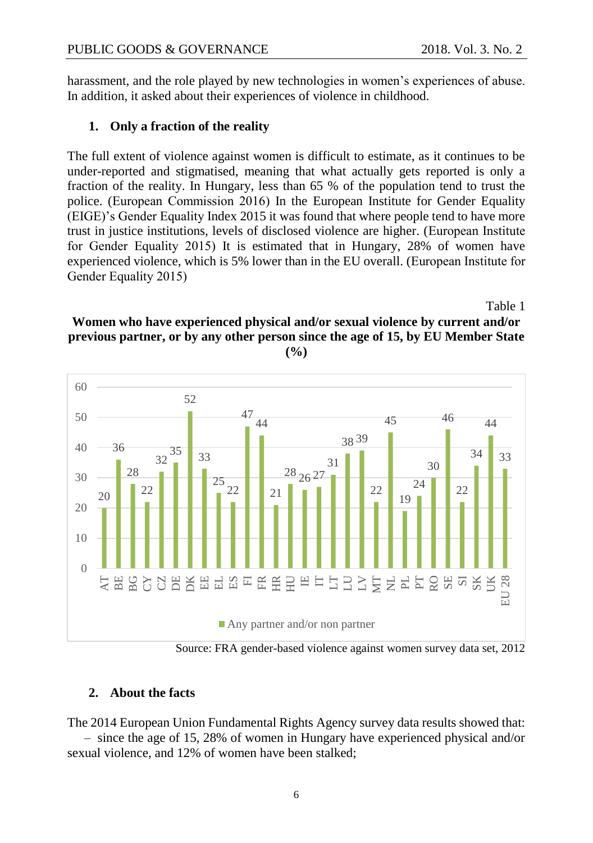harassment, and the role played by new technologies in women's experiences of abuse. In addition, it asked about their experiences of violence in childhood.

## **1. Only a fraction of the reality**

The full extent of violence against women is difficult to estimate, as it continues to be under-reported and stigmatised, meaning that what actually gets reported is only a fraction of the reality. In Hungary, less than 65 % of the population tend to trust the police. (European Commission 2016) In the European Institute for Gender Equality (EIGE)'s Gender Equality Index 2015 it was found that where people tend to have more trust in justice institutions, levels of disclosed violence are higher. (European Institute for Gender Equality 2015) It is estimated that in Hungary, 28% of women have experienced violence, which is 5% lower than in the EU overall. (European Institute for Gender Equality 2015)

# Table 1 **Women who have experienced physical and/or sexual violence by current and/or previous partner, or by any other person since the age of 15, by EU Member State**



Source: FRA gender-based violence against women survey data set, 2012

## **2. About the facts**

The 2014 European Union Fundamental Rights Agency survey data results showed that:

– since the age of 15, 28% of women in Hungary have experienced physical and/or sexual violence, and 12% of women have been stalked;

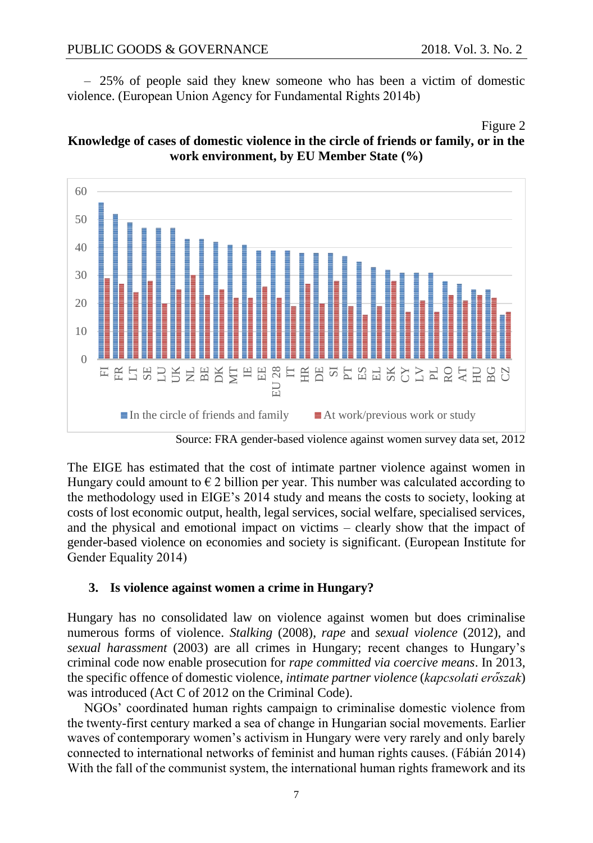$-25%$  of people said they knew someone who has been a victim of domestic violence. (European Union Agency for Fundamental Rights 2014b)

#### Figure 2





Source: FRA gender-based violence against women survey data set, 2012

The EIGE has estimated that the cost of intimate partner violence against women in Hungary could amount to  $\epsilon$  2 billion per year. This number was calculated according to the methodology used in EIGE's 2014 study and means the costs to society, looking at costs of lost economic output, health, legal services, social welfare, specialised services, and the physical and emotional impact on victims – clearly show that the impact of gender-based violence on economies and society is significant. (European Institute for Gender Equality 2014)

### **3. Is violence against women a crime in Hungary?**

Hungary has no consolidated law on violence against women but does criminalise numerous forms of violence. *Stalking* (2008), *rape* and *sexual violence* (2012), and *sexual harassment* (2003) are all crimes in Hungary; recent changes to Hungary's criminal code now enable prosecution for *rape committed via coercive means*. In 2013, the specific offence of domestic violence, *intimate partner violence* (*kapcsolati erőszak*) was introduced (Act C of 2012 on the Criminal Code).

NGOs' coordinated human rights campaign to criminalise domestic violence from the twenty-first century marked a sea of change in Hungarian social movements. Earlier waves of contemporary women's activism in Hungary were very rarely and only barely connected to international networks of feminist and human rights causes. (Fábián 2014) With the fall of the communist system, the international human rights framework and its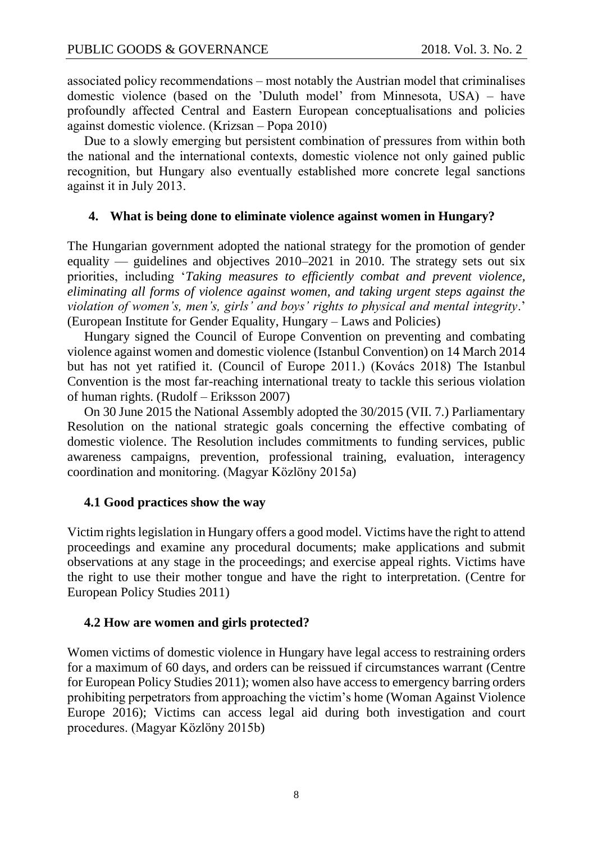associated policy recommendations – most notably the Austrian model that criminalises domestic violence (based on the 'Duluth model' from Minnesota, USA) – have profoundly affected Central and Eastern European conceptualisations and policies against domestic violence. (Krizsan – Popa 2010)

Due to a slowly emerging but persistent combination of pressures from within both the national and the international contexts, domestic violence not only gained public recognition, but Hungary also eventually established more concrete legal sanctions against it in July 2013.

#### **4. What is being done to eliminate violence against women in Hungary?**

The Hungarian government adopted the national strategy for the promotion of gender equality — guidelines and objectives 2010–2021 in 2010. The strategy sets out six priorities, including '*Taking measures to efficiently combat and prevent violence, eliminating all forms of violence against women, and taking urgent steps against the violation of women's, men's, girls' and boys' rights to physical and mental integrity*.' (European Institute for Gender Equality, Hungary – Laws and Policies)

Hungary signed the Council of Europe Convention on preventing and combating violence against women and domestic violence (Istanbul Convention) on 14 March 2014 but has not yet ratified it. (Council of Europe 2011.) (Kovács 2018) The Istanbul Convention is the most far-reaching international treaty to tackle this serious violation of human rights. (Rudolf – Eriksson 2007)

On 30 June 2015 the National Assembly adopted the 30/2015 (VII. 7.) Parliamentary Resolution on the national strategic goals concerning the effective combating of domestic violence. The Resolution includes commitments to funding services, public awareness campaigns, prevention, professional training, evaluation, interagency coordination and monitoring. (Magyar Közlöny 2015a)

### **4.1 Good practices show the way**

Victim rights legislation in Hungary offers a good model. Victims have the right to attend proceedings and examine any procedural documents; make applications and submit observations at any stage in the proceedings; and exercise appeal rights. Victims have the right to use their mother tongue and have the right to interpretation. (Centre for European Policy Studies 2011)

### **4.2 How are women and girls protected?**

Women victims of domestic violence in Hungary have legal access to restraining orders for a maximum of 60 days, and orders can be reissued if circumstances warrant (Centre for European Policy Studies 2011); women also have access to emergency barring orders prohibiting perpetrators from approaching the victim's home (Woman Against Violence Europe 2016); Victims can access legal aid during both investigation and court procedures. (Magyar Közlöny 2015b)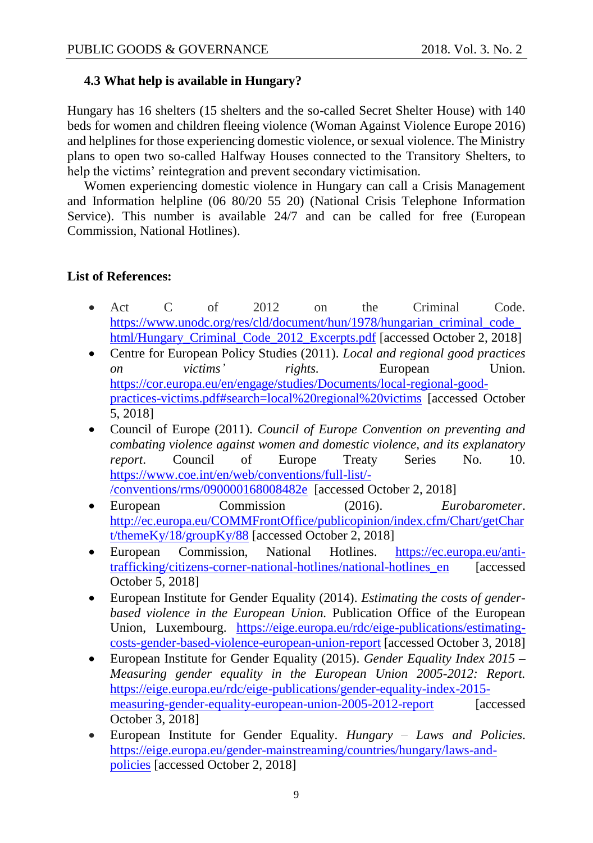## **4.3 What help is available in Hungary?**

Hungary has 16 shelters (15 shelters and the so-called Secret Shelter House) with 140 beds for women and children fleeing violence (Woman Against Violence Europe 2016) and helplines for those experiencing domestic violence, or sexual violence. The Ministry plans to open two so-called Halfway Houses connected to the Transitory Shelters, to help the victims' reintegration and prevent secondary victimisation.

Women experiencing domestic violence in Hungary can call a Crisis Management and Information helpline (06 80/20 55 20) (National Crisis Telephone Information Service). This number is available 24/7 and can be called for free (European Commission, National Hotlines).

### **List of References:**

- Act C of 2012 on the Criminal Code. [https://www.unodc.org/res/cld/document/hun/1978/hungarian\\_criminal\\_code\\_](https://www.unodc.org/res/cld/document/hun/1978/hungarian_criminal_code_html/Hungary_Criminal_Code_2012_Excerpts.pdf) html/Hungary Criminal Code 2012 Excerpts.pdf [accessed October 2, 2018]
- Centre for European Policy Studies (2011). *Local and regional good practices on victims' rights.* European Union. [https://cor.europa.eu/en/engage/studies/Documents/local-regional-good](https://cor.europa.eu/en/engage/studies/Documents/local-regional-good-practices-victims.pdf#search=local%20regional%20victims)[practices-victims.pdf#search=local%20regional%20victims](https://cor.europa.eu/en/engage/studies/Documents/local-regional-good-practices-victims.pdf#search=local%20regional%20victims) [accessed October 5, 2018]
- Council of Europe (2011). *Council of Europe Convention on preventing and combating violence against women and domestic violence, and its explanatory report*. Council of Europe Treaty Series No. 10. [https://www.coe.int/en/web/conventions/full-list/-](https://www.coe.int/en/web/conventions/full-list/-/conventions/rms/090000168008482e) [/conventions/rms/090000168008482e](https://www.coe.int/en/web/conventions/full-list/-/conventions/rms/090000168008482e) [accessed October 2, 2018]
- European Commission (2016). *Eurobarometer*. [http://ec.europa.eu/COMMFrontOffice/publicopinion/index.cfm/Chart/getChar](http://ec.europa.eu/COMMFrontOffice/publicopinion/index.cfm/Chart/getChart/themeKy/18/groupKy/88) [t/themeKy/18/groupKy/88](http://ec.europa.eu/COMMFrontOffice/publicopinion/index.cfm/Chart/getChart/themeKy/18/groupKy/88) [accessed October 2, 2018]
- European Commission, National Hotlines. [https://ec.europa.eu/anti](https://ec.europa.eu/anti-trafficking/citizens-corner-national-hotlines/national-hotlines_en)[trafficking/citizens-corner-national-hotlines/national-hotlines\\_en](https://ec.europa.eu/anti-trafficking/citizens-corner-national-hotlines/national-hotlines_en) [accessed October 5, 2018]
- European Institute for Gender Equality (2014). *Estimating the costs of genderbased violence in the European Union.* Publication Office of the European Union, Luxembourg. [https://eige.europa.eu/rdc/eige-publications/estimating](https://eige.europa.eu/rdc/eige-publications/estimating-costs-gender-based-violence-european-union-report)[costs-gender-based-violence-european-union-report](https://eige.europa.eu/rdc/eige-publications/estimating-costs-gender-based-violence-european-union-report) [accessed October 3, 2018]
- European Institute for Gender Equality (2015). *Gender Equality Index 2015 – Measuring gender equality in the European Union 2005-2012: Report.* [https://eige.europa.eu/rdc/eige-publications/gender-equality-index-2015](https://eige.europa.eu/rdc/eige-publications/gender-equality-index-2015-measuring-gender-equality-european-union-2005-2012-report) [measuring-gender-equality-european-union-2005-2012-report](https://eige.europa.eu/rdc/eige-publications/gender-equality-index-2015-measuring-gender-equality-european-union-2005-2012-report) [accessed] October 3, 2018]
- European Institute for Gender Equality. *Hungary – Laws and Policies*. [https://eige.europa.eu/gender-mainstreaming/countries/hungary/laws-and](https://eige.europa.eu/gender-mainstreaming/countries/hungary/laws-and-policies)[policies](https://eige.europa.eu/gender-mainstreaming/countries/hungary/laws-and-policies) [accessed October 2, 2018]